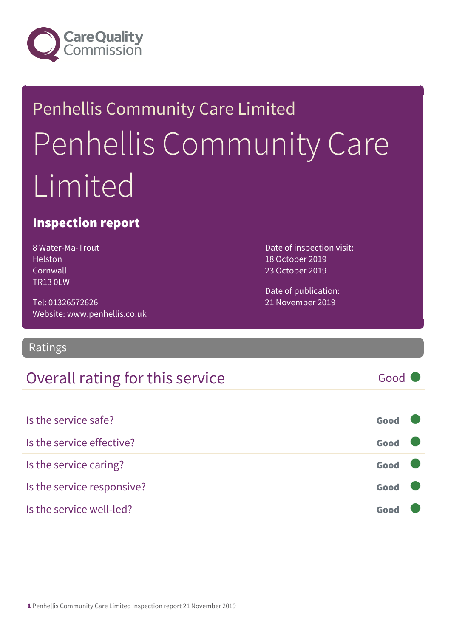

# Penhellis Community Care Limited Penhellis Community Care Limited

### Inspection report

8 Water-Ma-Trout Helston Cornwall TR13 0LW

Tel: 01326572626 Website: www.penhellis.co.uk Date of inspection visit: 18 October 2019 23 October 2019

Date of publication: 21 November 2019

### Ratings

### Overall rating for this service Good

| Is the service safe?       | Good |  |
|----------------------------|------|--|
| Is the service effective?  | Good |  |
| Is the service caring?     | Good |  |
| Is the service responsive? | Good |  |
| Is the service well-led?   |      |  |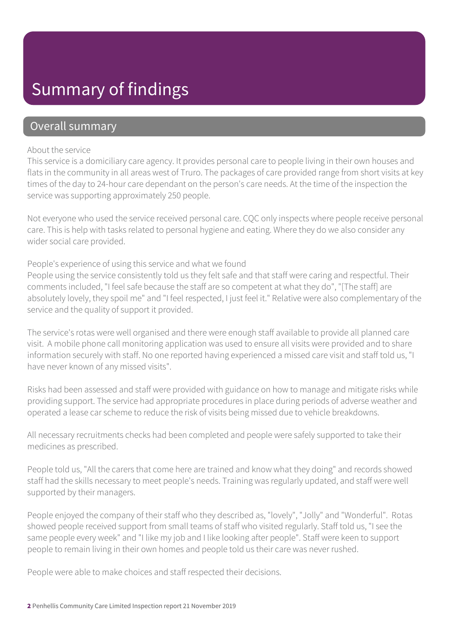### Summary of findings

### Overall summary

#### About the service

This service is a domiciliary care agency. It provides personal care to people living in their own houses and flats in the community in all areas west of Truro. The packages of care provided range from short visits at key times of the day to 24-hour care dependant on the person's care needs. At the time of the inspection the service was supporting approximately 250 people.

Not everyone who used the service received personal care. CQC only inspects where people receive personal care. This is help with tasks related to personal hygiene and eating. Where they do we also consider any wider social care provided.

People's experience of using this service and what we found

People using the service consistently told us they felt safe and that staff were caring and respectful. Their comments included, "I feel safe because the staff are so competent at what they do", "[The staff] are absolutely lovely, they spoil me" and "I feel respected, I just feel it." Relative were also complementary of the service and the quality of support it provided.

The service's rotas were well organised and there were enough staff available to provide all planned care visit. A mobile phone call monitoring application was used to ensure all visits were provided and to share information securely with staff. No one reported having experienced a missed care visit and staff told us, "I have never known of any missed visits".

Risks had been assessed and staff were provided with guidance on how to manage and mitigate risks while providing support. The service had appropriate procedures in place during periods of adverse weather and operated a lease car scheme to reduce the risk of visits being missed due to vehicle breakdowns.

All necessary recruitments checks had been completed and people were safely supported to take their medicines as prescribed.

People told us, "All the carers that come here are trained and know what they doing" and records showed staff had the skills necessary to meet people's needs. Training was regularly updated, and staff were well supported by their managers.

People enjoyed the company of their staff who they described as, "lovely", "Jolly" and "Wonderful". Rotas showed people received support from small teams of staff who visited regularly. Staff told us, "I see the same people every week" and "I like my job and I like looking after people". Staff were keen to support people to remain living in their own homes and people told us their care was never rushed.

People were able to make choices and staff respected their decisions.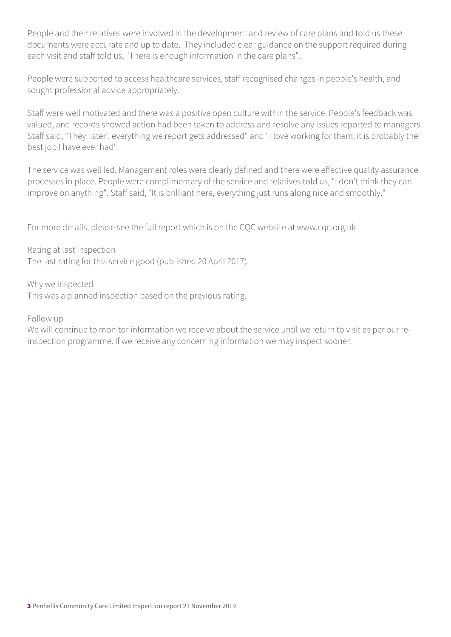People and their relatives were involved in the development and review of care plans and told us these documents were accurate and up to date. They included clear guidance on the support required during each visit and staff told us, "There is enough information in the care plans".

People were supported to access healthcare services, staff recognised changes in people's health, and sought professional advice appropriately.

Staff were well motivated and there was a positive open culture within the service. People's feedback was valued, and records showed action had been taken to address and resolve any issues reported to managers. Staff said, "They listen, everything we report gets addressed" and "I love working for them, it is probably the best job I have ever had".

The service was well led. Management roles were clearly defined and there were effective quality assurance processes in place. People were complimentary of the service and relatives told us, "I don't think they can improve on anything". Staff said, "It is brilliant here, everything just runs along nice and smoothly."

For more details, please see the full report which is on the CQC website at www.cqc.org.uk

Rating at last inspection The last rating for this service good (published 20 April 2017).

Why we inspected This was a planned inspection based on the previous rating.

Follow up

We will continue to monitor information we receive about the service until we return to visit as per our reinspection programme. If we receive any concerning information we may inspect sooner.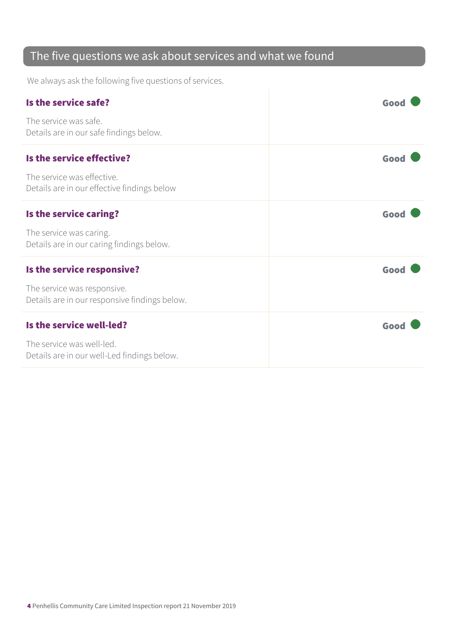### The five questions we ask about services and what we found

We always ask the following five questions of services.

| Is the service safe?                                                         | Good |
|------------------------------------------------------------------------------|------|
| The service was safe.<br>Details are in our safe findings below.             |      |
| Is the service effective?                                                    | Good |
| The service was effective.<br>Details are in our effective findings below    |      |
| Is the service caring?                                                       | Good |
| The service was caring.<br>Details are in our caring findings below.         |      |
| Is the service responsive?                                                   | Good |
| The service was responsive.<br>Details are in our responsive findings below. |      |
| Is the service well-led?                                                     | Good |
| The service was well-led.<br>Details are in our well-Led findings below.     |      |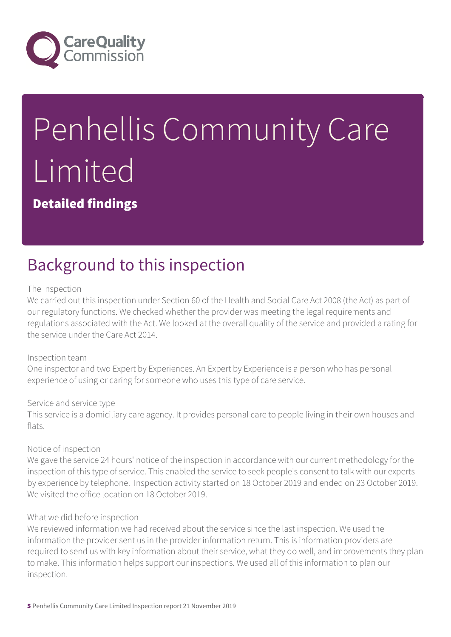

# Penhellis Community Care Limited

Detailed findings

# Background to this inspection

#### The inspection

We carried out this inspection under Section 60 of the Health and Social Care Act 2008 (the Act) as part of our regulatory functions. We checked whether the provider was meeting the legal requirements and regulations associated with the Act. We looked at the overall quality of the service and provided a rating for the service under the Care Act 2014.

#### Inspection team

One inspector and two Expert by Experiences. An Expert by Experience is a person who has personal experience of using or caring for someone who uses this type of care service.

#### Service and service type

This service is a domiciliary care agency. It provides personal care to people living in their own houses and flats.

#### Notice of inspection

We gave the service 24 hours' notice of the inspection in accordance with our current methodology for the inspection of this type of service. This enabled the service to seek people's consent to talk with our experts by experience by telephone. Inspection activity started on 18 October 2019 and ended on 23 October 2019. We visited the office location on 18 October 2019.

#### What we did before inspection

We reviewed information we had received about the service since the last inspection. We used the information the provider sent us in the provider information return. This is information providers are required to send us with key information about their service, what they do well, and improvements they plan to make. This information helps support our inspections. We used all of this information to plan our inspection.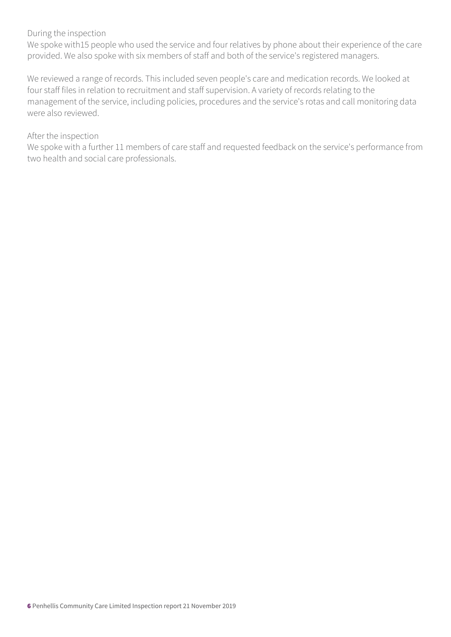#### During the inspection

We spoke with15 people who used the service and four relatives by phone about their experience of the care provided. We also spoke with six members of staff and both of the service's registered managers.

We reviewed a range of records. This included seven people's care and medication records. We looked at four staff files in relation to recruitment and staff supervision. A variety of records relating to the management of the service, including policies, procedures and the service's rotas and call monitoring data were also reviewed.

#### After the inspection

We spoke with a further 11 members of care staff and requested feedback on the service's performance from two health and social care professionals.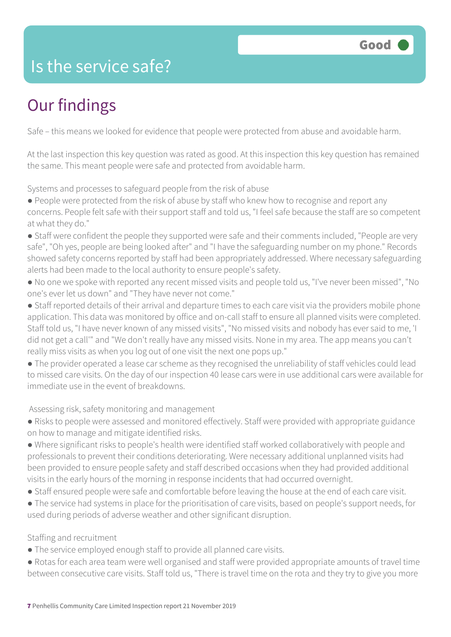### Is the service safe?

# Our findings

Safe – this means we looked for evidence that people were protected from abuse and avoidable harm.

At the last inspection this key question was rated as good. At this inspection this key question has remained the same. This meant people were safe and protected from avoidable harm.

Systems and processes to safeguard people from the risk of abuse

- People were protected from the risk of abuse by staff who knew how to recognise and report any concerns. People felt safe with their support staff and told us, "I feel safe because the staff are so competent at what they do."
- Staff were confident the people they supported were safe and their comments included, "People are very safe", "Oh yes, people are being looked after" and "I have the safeguarding number on my phone." Records showed safety concerns reported by staff had been appropriately addressed. Where necessary safeguarding alerts had been made to the local authority to ensure people's safety.
- No one we spoke with reported any recent missed visits and people told us, "I've never been missed", "No one's ever let us down" and "They have never not come."
- Staff reported details of their arrival and departure times to each care visit via the providers mobile phone application. This data was monitored by office and on-call staff to ensure all planned visits were completed. Staff told us, "I have never known of any missed visits", "No missed visits and nobody has ever said to me, 'I did not get a call'" and "We don't really have any missed visits. None in my area. The app means you can't really miss visits as when you log out of one visit the next one pops up."
- The provider operated a lease car scheme as they recognised the unreliability of staff vehicles could lead to missed care visits. On the day of our inspection 40 lease cars were in use additional cars were available for immediate use in the event of breakdowns.

#### Assessing risk, safety monitoring and management

- Risks to people were assessed and monitored effectively. Staff were provided with appropriate guidance on how to manage and mitigate identified risks.
- Where significant risks to people's health were identified staff worked collaboratively with people and professionals to prevent their conditions deteriorating. Were necessary additional unplanned visits had been provided to ensure people safety and staff described occasions when they had provided additional visits in the early hours of the morning in response incidents that had occurred overnight.
- Staff ensured people were safe and comfortable before leaving the house at the end of each care visit.
- The service had systems in place for the prioritisation of care visits, based on people's support needs, for used during periods of adverse weather and other significant disruption.

#### Staffing and recruitment

- The service employed enough staff to provide all planned care visits.
- Rotas for each area team were well organised and staff were provided appropriate amounts of travel time between consecutive care visits. Staff told us, "There is travel time on the rota and they try to give you more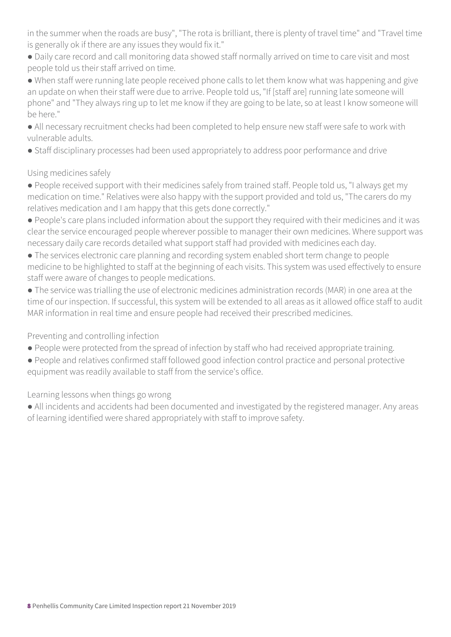in the summer when the roads are busy", "The rota is brilliant, there is plenty of travel time" and "Travel time is generally ok if there are any issues they would fix it."

- Daily care record and call monitoring data showed staff normally arrived on time to care visit and most people told us their staff arrived on time.
- When staff were running late people received phone calls to let them know what was happening and give an update on when their staff were due to arrive. People told us, "If [staff are] running late someone will phone" and "They always ring up to let me know if they are going to be late, so at least I know someone will be here."
- All necessary recruitment checks had been completed to help ensure new staff were safe to work with vulnerable adults.
- Staff disciplinary processes had been used appropriately to address poor performance and drive

### Using medicines safely

- People received support with their medicines safely from trained staff. People told us, "I always get my medication on time." Relatives were also happy with the support provided and told us, "The carers do my relatives medication and I am happy that this gets done correctly."
- People's care plans included information about the support they required with their medicines and it was clear the service encouraged people wherever possible to manager their own medicines. Where support was necessary daily care records detailed what support staff had provided with medicines each day.
- The services electronic care planning and recording system enabled short term change to people medicine to be highlighted to staff at the beginning of each visits. This system was used effectively to ensure staff were aware of changes to people medications.
- The service was trialling the use of electronic medicines administration records (MAR) in one area at the time of our inspection. If successful, this system will be extended to all areas as it allowed office staff to audit MAR information in real time and ensure people had received their prescribed medicines.

### Preventing and controlling infection

- People were protected from the spread of infection by staff who had received appropriate training.
- People and relatives confirmed staff followed good infection control practice and personal protective equipment was readily available to staff from the service's office.

Learning lessons when things go wrong

● All incidents and accidents had been documented and investigated by the registered manager. Any areas of learning identified were shared appropriately with staff to improve safety.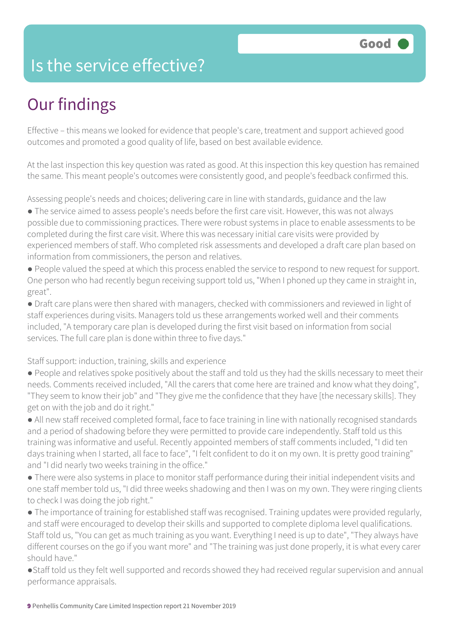### Is the service effective?

# Our findings

Effective – this means we looked for evidence that people's care, treatment and support achieved good outcomes and promoted a good quality of life, based on best available evidence.

At the last inspection this key question was rated as good. At this inspection this key question has remained the same. This meant people's outcomes were consistently good, and people's feedback confirmed this.

Assessing people's needs and choices; delivering care in line with standards, guidance and the law

● The service aimed to assess people's needs before the first care visit. However, this was not always possible due to commissioning practices. There were robust systems in place to enable assessments to be completed during the first care visit. Where this was necessary initial care visits were provided by experienced members of staff. Who completed risk assessments and developed a draft care plan based on information from commissioners, the person and relatives.

● People valued the speed at which this process enabled the service to respond to new request for support. One person who had recently begun receiving support told us, "When I phoned up they came in straight in, great".

● Draft care plans were then shared with managers, checked with commissioners and reviewed in light of staff experiences during visits. Managers told us these arrangements worked well and their comments included, "A temporary care plan is developed during the first visit based on information from social services. The full care plan is done within three to five days."

Staff support: induction, training, skills and experience

● People and relatives spoke positively about the staff and told us they had the skills necessary to meet their needs. Comments received included, "All the carers that come here are trained and know what they doing", "They seem to know their job" and "They give me the confidence that they have [the necessary skills]. They get on with the job and do it right."

● All new staff received completed formal, face to face training in line with nationally recognised standards and a period of shadowing before they were permitted to provide care independently. Staff told us this training was informative and useful. Recently appointed members of staff comments included, "I did ten days training when I started, all face to face", "I felt confident to do it on my own. It is pretty good training" and "I did nearly two weeks training in the office."

● There were also systems in place to monitor staff performance during their initial independent visits and one staff member told us, "I did three weeks shadowing and then I was on my own. They were ringing clients to check I was doing the job right."

● The importance of training for established staff was recognised. Training updates were provided regularly, and staff were encouraged to develop their skills and supported to complete diploma level qualifications. Staff told us, "You can get as much training as you want. Everything I need is up to date", "They always have different courses on the go if you want more" and "The training was just done properly, it is what every carer should have."

●Staff told us they felt well supported and records showed they had received regular supervision and annual performance appraisals.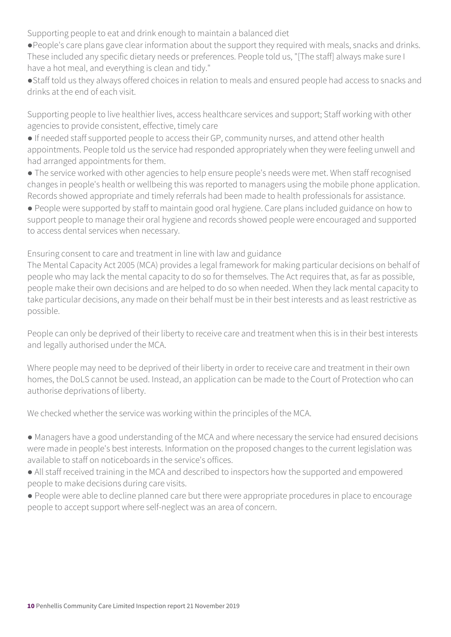Supporting people to eat and drink enough to maintain a balanced diet

- ●People's care plans gave clear information about the support they required with meals, snacks and drinks. These included any specific dietary needs or preferences. People told us, "[The staff] always make sure I have a hot meal, and everything is clean and tidy."
- ●Staff told us they always offered choices in relation to meals and ensured people had access to snacks and drinks at the end of each visit.

Supporting people to live healthier lives, access healthcare services and support; Staff working with other agencies to provide consistent, effective, timely care

- If needed staff supported people to access their GP, community nurses, and attend other health appointments. People told us the service had responded appropriately when they were feeling unwell and had arranged appointments for them.
- The service worked with other agencies to help ensure people's needs were met. When staff recognised changes in people's health or wellbeing this was reported to managers using the mobile phone application. Records showed appropriate and timely referrals had been made to health professionals for assistance.
- People were supported by staff to maintain good oral hygiene. Care plans included guidance on how to support people to manage their oral hygiene and records showed people were encouraged and supported to access dental services when necessary.

Ensuring consent to care and treatment in line with law and guidance

The Mental Capacity Act 2005 (MCA) provides a legal framework for making particular decisions on behalf of people who may lack the mental capacity to do so for themselves. The Act requires that, as far as possible, people make their own decisions and are helped to do so when needed. When they lack mental capacity to take particular decisions, any made on their behalf must be in their best interests and as least restrictive as possible.

People can only be deprived of their liberty to receive care and treatment when this is in their best interests and legally authorised under the MCA.

Where people may need to be deprived of their liberty in order to receive care and treatment in their own homes, the DoLS cannot be used. Instead, an application can be made to the Court of Protection who can authorise deprivations of liberty.

We checked whether the service was working within the principles of the MCA.

- Managers have a good understanding of the MCA and where necessary the service had ensured decisions were made in people's best interests. Information on the proposed changes to the current legislation was available to staff on noticeboards in the service's offices.
- All staff received training in the MCA and described to inspectors how the supported and empowered people to make decisions during care visits.
- People were able to decline planned care but there were appropriate procedures in place to encourage people to accept support where self-neglect was an area of concern.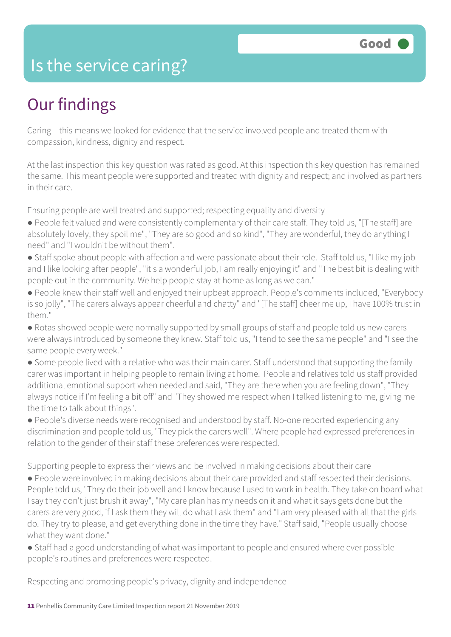### Is the service caring?

### Our findings

Caring – this means we looked for evidence that the service involved people and treated them with compassion, kindness, dignity and respect.

At the last inspection this key question was rated as good. At this inspection this key question has remained the same. This meant people were supported and treated with dignity and respect; and involved as partners in their care.

Ensuring people are well treated and supported; respecting equality and diversity

- People felt valued and were consistently complementary of their care staff. They told us, "[The staff] are absolutely lovely, they spoil me", "They are so good and so kind", "They are wonderful, they do anything I need" and "I wouldn't be without them".
- Staff spoke about people with affection and were passionate about their role. Staff told us, "I like my job and I like looking after people", "it's a wonderful job, I am really enjoying it" and "The best bit is dealing with people out in the community. We help people stay at home as long as we can."
- People knew their staff well and enjoyed their upbeat approach. People's comments included, "Everybody is so jolly", "The carers always appear cheerful and chatty" and "[The staff] cheer me up, I have 100% trust in them."
- Rotas showed people were normally supported by small groups of staff and people told us new carers were always introduced by someone they knew. Staff told us, "I tend to see the same people" and "I see the same people every week."
- Some people lived with a relative who was their main carer. Staff understood that supporting the family carer was important in helping people to remain living at home. People and relatives told us staff provided additional emotional support when needed and said, "They are there when you are feeling down", "They always notice if I'm feeling a bit off" and "They showed me respect when I talked listening to me, giving me the time to talk about things".
- People's diverse needs were recognised and understood by staff. No-one reported experiencing any discrimination and people told us, "They pick the carers well". Where people had expressed preferences in relation to the gender of their staff these preferences were respected.

Supporting people to express their views and be involved in making decisions about their care ● People were involved in making decisions about their care provided and staff respected their decisions. People told us, "They do their job well and I know because I used to work in health. They take on board what I say they don't just brush it away", "My care plan has my needs on it and what it says gets done but the carers are very good, if I ask them they will do what I ask them" and "I am very pleased with all that the girls do. They try to please, and get everything done in the time they have." Staff said, "People usually choose what they want done."

● Staff had a good understanding of what was important to people and ensured where ever possible people's routines and preferences were respected.

Respecting and promoting people's privacy, dignity and independence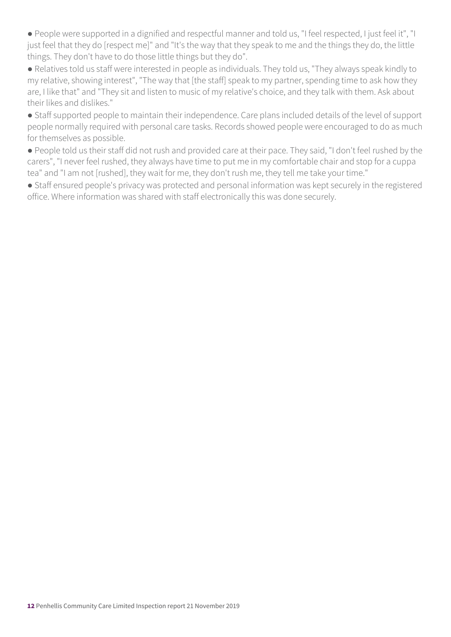● People were supported in a dignified and respectful manner and told us, "I feel respected, I just feel it", "I just feel that they do [respect me]" and "It's the way that they speak to me and the things they do, the little things. They don't have to do those little things but they do".

● Relatives told us staff were interested in people as individuals. They told us, "They always speak kindly to my relative, showing interest", "The way that [the staff] speak to my partner, spending time to ask how they are, I like that" and "They sit and listen to music of my relative's choice, and they talk with them. Ask about their likes and dislikes."

● Staff supported people to maintain their independence. Care plans included details of the level of support people normally required with personal care tasks. Records showed people were encouraged to do as much for themselves as possible.

● People told us their staff did not rush and provided care at their pace. They said, "I don't feel rushed by the carers", "I never feel rushed, they always have time to put me in my comfortable chair and stop for a cuppa tea" and "I am not [rushed], they wait for me, they don't rush me, they tell me take your time."

● Staff ensured people's privacy was protected and personal information was kept securely in the registered office. Where information was shared with staff electronically this was done securely.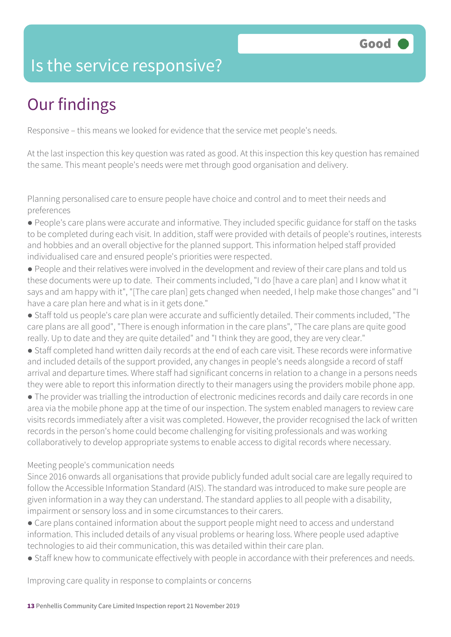### Is the service responsive?

# Our findings

Responsive – this means we looked for evidence that the service met people's needs.

At the last inspection this key question was rated as good. At this inspection this key question has remained the same. This meant people's needs were met through good organisation and delivery.

Planning personalised care to ensure people have choice and control and to meet their needs and preferences

- People's care plans were accurate and informative. They included specific guidance for staff on the tasks to be completed during each visit. In addition, staff were provided with details of people's routines, interests and hobbies and an overall objective for the planned support. This information helped staff provided individualised care and ensured people's priorities were respected.
- People and their relatives were involved in the development and review of their care plans and told us these documents were up to date. Their comments included, "I do [have a care plan] and I know what it says and am happy with it", "[The care plan] gets changed when needed, I help make those changes" and "I have a care plan here and what is in it gets done."
- Staff told us people's care plan were accurate and sufficiently detailed. Their comments included, "The care plans are all good", "There is enough information in the care plans", "The care plans are quite good really. Up to date and they are quite detailed" and "I think they are good, they are very clear."
- Staff completed hand written daily records at the end of each care visit. These records were informative and included details of the support provided, any changes in people's needs alongside a record of staff arrival and departure times. Where staff had significant concerns in relation to a change in a persons needs they were able to report this information directly to their managers using the providers mobile phone app.
- The provider was trialling the introduction of electronic medicines records and daily care records in one area via the mobile phone app at the time of our inspection. The system enabled managers to review care visits records immediately after a visit was completed. However, the provider recognised the lack of written records in the person's home could become challenging for visiting professionals and was working collaboratively to develop appropriate systems to enable access to digital records where necessary.

#### Meeting people's communication needs

Since 2016 onwards all organisations that provide publicly funded adult social care are legally required to follow the Accessible Information Standard (AIS). The standard was introduced to make sure people are given information in a way they can understand. The standard applies to all people with a disability, impairment or sensory loss and in some circumstances to their carers.

- Care plans contained information about the support people might need to access and understand information. This included details of any visual problems or hearing loss. Where people used adaptive technologies to aid their communication, this was detailed within their care plan.
- Staff knew how to communicate effectively with people in accordance with their preferences and needs.

Improving care quality in response to complaints or concerns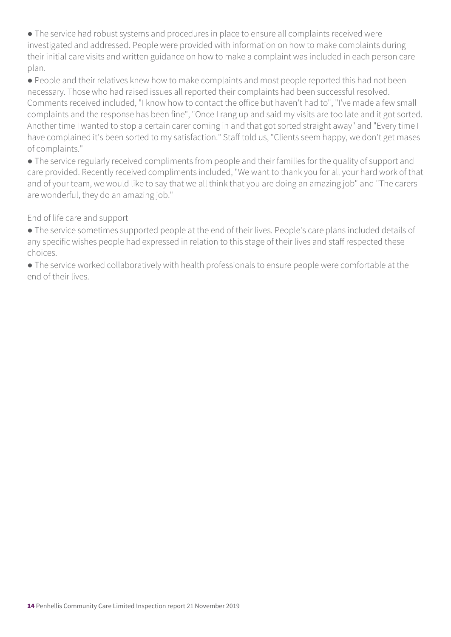● The service had robust systems and procedures in place to ensure all complaints received were investigated and addressed. People were provided with information on how to make complaints during their initial care visits and written guidance on how to make a complaint was included in each person care plan.

● People and their relatives knew how to make complaints and most people reported this had not been necessary. Those who had raised issues all reported their complaints had been successful resolved. Comments received included, "I know how to contact the office but haven't had to", "I've made a few small complaints and the response has been fine", "Once I rang up and said my visits are too late and it got sorted. Another time I wanted to stop a certain carer coming in and that got sorted straight away" and "Every time I have complained it's been sorted to my satisfaction." Staff told us, "Clients seem happy, we don't get mases of complaints."

● The service regularly received compliments from people and their families for the quality of support and care provided. Recently received compliments included, "We want to thank you for all your hard work of that and of your team, we would like to say that we all think that you are doing an amazing job" and "The carers are wonderful, they do an amazing job."

#### End of life care and support

● The service sometimes supported people at the end of their lives. People's care plans included details of any specific wishes people had expressed in relation to this stage of their lives and staff respected these choices.

● The service worked collaboratively with health professionals to ensure people were comfortable at the end of their lives.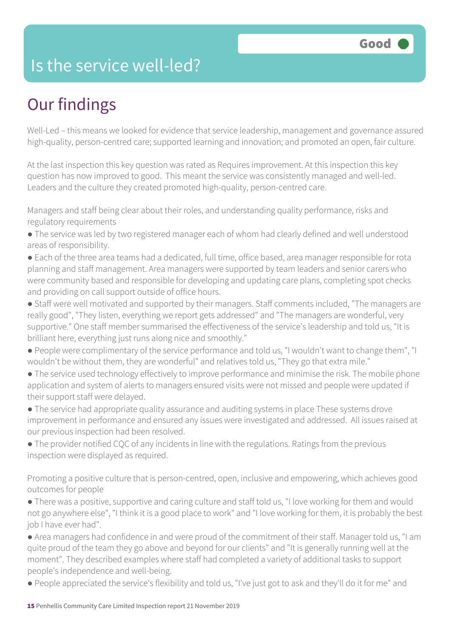### Is the service well-led?

# Our findings

Well-Led – this means we looked for evidence that service leadership, management and governance assured high-quality, person-centred care; supported learning and innovation; and promoted an open, fair culture.

At the last inspection this key question was rated as Requires improvement. At this inspection this key question has now improved to good. This meant the service was consistently managed and well-led. Leaders and the culture they created promoted high-quality, person-centred care.

Managers and staff being clear about their roles, and understanding quality performance, risks and regulatory requirements

- The service was led by two registered manager each of whom had clearly defined and well understood areas of responsibility.
- Each of the three area teams had a dedicated, full time, office based, area manager responsible for rota planning and staff management. Area managers were supported by team leaders and senior carers who were community based and responsible for developing and updating care plans, completing spot checks and providing on call support outside of office hours.
- Staff were well motivated and supported by their managers. Staff comments included, "The managers are really good", "They listen, everything we report gets addressed" and "The managers are wonderful, very supportive." One staff member summarised the effectiveness of the service's leadership and told us, "It is brilliant here, everything just runs along nice and smoothly."
- People were complimentary of the service performance and told us, "I wouldn't want to change them", "I wouldn't be without them, they are wonderful" and relatives told us, "They go that extra mile."
- The service used technology effectively to improve performance and minimise the risk. The mobile phone application and system of alerts to managers ensured visits were not missed and people were updated if their support staff were delayed.
- The service had appropriate quality assurance and auditing systems in place These systems drove improvement in performance and ensured any issues were investigated and addressed. All issues raised at our previous inspection had been resolved.
- The provider notified CQC of any incidents in line with the regulations. Ratings from the previous inspection were displayed as required.

Promoting a positive culture that is person-centred, open, inclusive and empowering, which achieves good outcomes for people

- There was a positive, supportive and caring culture and staff told us, "I love working for them and would not go anywhere else", "I think it is a good place to work" and "I love working for them, it is probably the best job I have ever had".
- Area managers had confidence in and were proud of the commitment of their staff. Manager told us, "I am quite proud of the team they go above and beyond for our clients" and "It is generally running well at the moment". They described examples where staff had completed a variety of additional tasks to support people's independence and well-being.
- People appreciated the service's flexibility and told us, "I've just got to ask and they'll do it for me" and